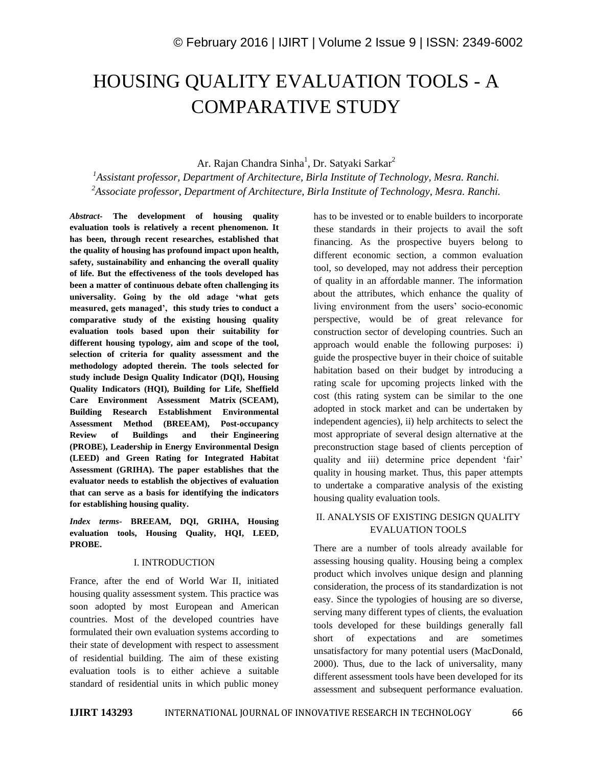# HOUSING QUALITY EVALUATION TOOLS - A COMPARATIVE STUDY

Ar. Rajan Chandra Sinha<sup>1</sup>, Dr. Satyaki Sarkar<sup>2</sup>

*<sup>1</sup>Assistant professor, Department of Architecture, Birla Institute of Technology, Mesra. Ranchi. <sup>2</sup>Associate professor, Department of Architecture, Birla Institute of Technology, Mesra. Ranchi.*

*Abstract***- The development of housing quality evaluation tools is relatively a recent phenomenon. It has been, through recent researches, established that the quality of housing has profound impact upon health, safety, sustainability and enhancing the overall quality of life. But the effectiveness of the tools developed has been a matter of continuous debate often challenging its universality. Going by the old adage 'what gets measured, gets managed', this study tries to conduct a comparative study of the existing housing quality evaluation tools based upon their suitability for different housing typology, aim and scope of the tool, selection of criteria for quality assessment and the methodology adopted therein. The tools selected for study include Design Quality Indicator (DQI), Housing Quality Indicators (HQI), Building for Life, Sheffield Care Environment Assessment Matrix (SCEAM), Building Research Establishment Environmental Assessment Method (BREEAM), Post-occupancy Review of Buildings and their Engineering (PROBE), Leadership in Energy Environmental Design (LEED) and Green Rating for Integrated Habitat Assessment (GRIHA). The paper establishes that the evaluator needs to establish the objectives of evaluation that can serve as a basis for identifying the indicators for establishing housing quality.**

*Index terms***- BREEAM, DQI, GRIHA, Housing evaluation tools, Housing Quality, HQI, LEED, PROBE.**

#### I. INTRODUCTION

France, after the end of World War II, initiated housing quality assessment system. This practice was soon adopted by most European and American countries. Most of the developed countries have formulated their own evaluation systems according to their state of development with respect to assessment of residential building. The aim of these existing evaluation tools is to either achieve a suitable standard of residential units in which public money

has to be invested or to enable builders to incorporate these standards in their projects to avail the soft financing. As the prospective buyers belong to different economic section, a common evaluation tool, so developed, may not address their perception of quality in an affordable manner. The information about the attributes, which enhance the quality of living environment from the users' socio-economic perspective, would be of great relevance for construction sector of developing countries. Such an approach would enable the following purposes: i) guide the prospective buyer in their choice of suitable habitation based on their budget by introducing a rating scale for upcoming projects linked with the cost (this rating system can be similar to the one adopted in stock market and can be undertaken by independent agencies), ii) help architects to select the most appropriate of several design alternative at the preconstruction stage based of clients perception of quality and iii) determine price dependent 'fair' quality in housing market. Thus, this paper attempts to undertake a comparative analysis of the existing housing quality evaluation tools.

### II. ANALYSIS OF EXISTING DESIGN QUALITY EVALUATION TOOLS

There are a number of tools already available for assessing housing quality. Housing being a complex product which involves unique design and planning consideration, the process of its standardization is not easy. Since the typologies of housing are so diverse, serving many different types of clients, the evaluation tools developed for these buildings generally fall short of expectations and are sometimes unsatisfactory for many potential users (MacDonald, 2000). Thus, due to the lack of universality, many different assessment tools have been developed for its assessment and subsequent performance evaluation.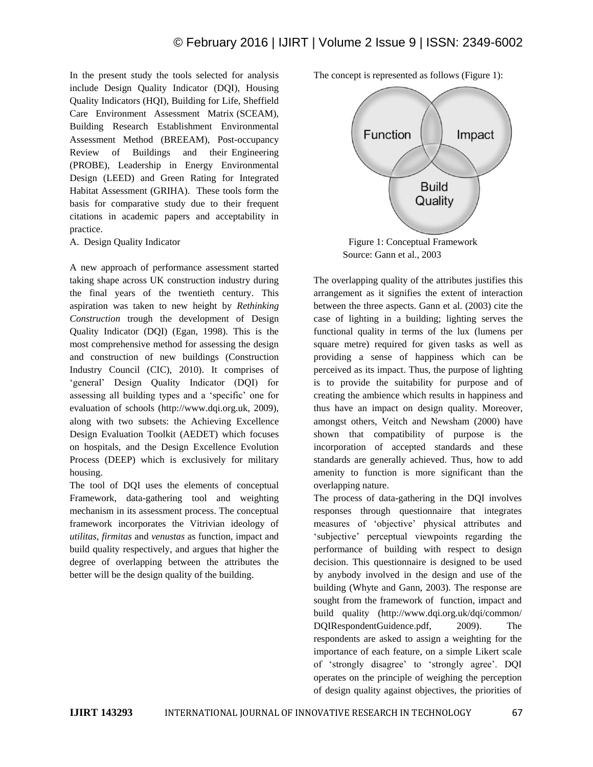In the present study the tools selected for analysis include Design Quality Indicator (DQI), Housing Quality Indicators (HQI), Building for Life, Sheffield Care Environment Assessment Matrix (SCEAM), Building Research Establishment Environmental Assessment Method (BREEAM), Post-occupancy Review of Buildings and their Engineering (PROBE), Leadership in Energy Environmental Design (LEED) and Green Rating for Integrated Habitat Assessment (GRIHA). These tools form the basis for comparative study due to their frequent citations in academic papers and acceptability in practice.

A. Design Quality Indicator

A new approach of performance assessment started taking shape across UK construction industry during the final years of the twentieth century. This aspiration was taken to new height by *Rethinking Construction* trough the development of Design Quality Indicator (DQI) (Egan, 1998). This is the most comprehensive method for assessing the design and construction of new buildings (Construction Industry Council (CIC), 2010). It comprises of 'general' Design Quality Indicator (DQI) for assessing all building types and a 'specific' one for evaluation of schools (http://www.dqi.org.uk, 2009), along with two subsets: the Achieving Excellence Design Evaluation Toolkit (AEDET) which focuses on hospitals, and the Design Excellence Evolution Process (DEEP) which is exclusively for military housing.

The tool of DQI uses the elements of conceptual Framework, data-gathering tool and weighting mechanism in its assessment process. The conceptual framework incorporates the Vitrivian ideology of *utilitas*, *firmitas* and *venustas* as function, impact and build quality respectively, and argues that higher the degree of overlapping between the attributes the better will be the design quality of the building.

The concept is represented as follows (Figure 1):



Source: Gann et al., 2003

The overlapping quality of the attributes justifies this arrangement as it signifies the extent of interaction between the three aspects. Gann et al. (2003) cite the case of lighting in a building; lighting serves the functional quality in terms of the lux (lumens per square metre) required for given tasks as well as providing a sense of happiness which can be perceived as its impact. Thus, the purpose of lighting is to provide the suitability for purpose and of creating the ambience which results in happiness and thus have an impact on design quality. Moreover, amongst others, Veitch and Newsham (2000) have shown that compatibility of purpose is the incorporation of accepted standards and these standards are generally achieved. Thus, how to add amenity to function is more significant than the overlapping nature.

The process of data-gathering in the DQI involves responses through questionnaire that integrates measures of 'objective' physical attributes and 'subjective' perceptual viewpoints regarding the performance of building with respect to design decision. This questionnaire is designed to be used by anybody involved in the design and use of the building (Whyte and Gann, 2003). The response are sought from the framework of function, impact and build quality (http://www.dqi.org.uk/dqi/common/ DQIRespondentGuidence.pdf, 2009). The respondents are asked to assign a weighting for the importance of each feature, on a simple Likert scale of 'strongly disagree' to 'strongly agree'. DQI operates on the principle of weighing the perception of design quality against objectives, the priorities of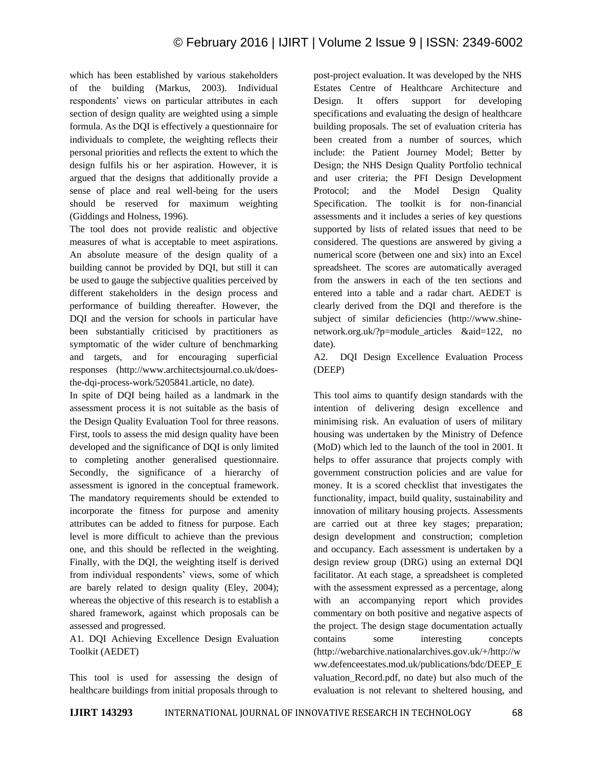which has been established by various stakeholders of the building (Markus, 2003). Individual respondents' views on particular attributes in each section of design quality are weighted using a simple formula. As the DQI is effectively a questionnaire for individuals to complete, the weighting reflects their personal priorities and reflects the extent to which the design fulfils his or her aspiration. However, it is argued that the designs that additionally provide a sense of place and real well-being for the users should be reserved for maximum weighting (Giddings and Holness, 1996).

The tool does not provide realistic and objective measures of what is acceptable to meet aspirations. An absolute measure of the design quality of a building cannot be provided by DQI, but still it can be used to gauge the subjective qualities perceived by different stakeholders in the design process and performance of building thereafter. However, the DQI and the version for schools in particular have been substantially criticised by practitioners as symptomatic of the wider culture of benchmarking and targets, and for encouraging superficial responses (http://www.architectsjournal.co.uk/doesthe-dqi-process-work/5205841.article, no date).

In spite of DQI being hailed as a landmark in the assessment process it is not suitable as the basis of the Design Quality Evaluation Tool for three reasons. First, tools to assess the mid design quality have been developed and the significance of DQI is only limited to completing another generalised questionnaire. Secondly, the significance of a hierarchy of assessment is ignored in the conceptual framework. The mandatory requirements should be extended to incorporate the fitness for purpose and amenity attributes can be added to fitness for purpose. Each level is more difficult to achieve than the previous one, and this should be reflected in the weighting. Finally, with the DQI, the weighting itself is derived from individual respondents' views, some of which are barely related to design quality (Eley, 2004); whereas the objective of this research is to establish a shared framework, against which proposals can be assessed and progressed.

A1. DQI Achieving Excellence Design Evaluation Toolkit (AEDET)

This tool is used for assessing the design of healthcare buildings from initial proposals through to post-project evaluation. It was developed by the NHS Estates Centre of Healthcare Architecture and Design. It offers support for developing specifications and evaluating the design of healthcare building proposals. The set of evaluation criteria has been created from a number of sources, which include: the Patient Journey Model; Better by Design; the NHS Design Quality Portfolio technical and user criteria; the PFI Design Development Protocol; and the Model Design Quality Specification. The toolkit is for non-financial assessments and it includes a series of key questions supported by lists of related issues that need to be considered. The questions are answered by giving a numerical score (between one and six) into an Excel spreadsheet. The scores are automatically averaged from the answers in each of the ten sections and entered into a table and a radar chart. AEDET is clearly derived from the DQI and therefore is the subject of similar deficiencies (http://www.shinenetwork.org.uk/?p=module\_articles &aid=122, no date).

A2. DQI Design Excellence Evaluation Process (DEEP)

This tool aims to quantify design standards with the intention of delivering design excellence and minimising risk. An evaluation of users of military housing was undertaken by the Ministry of Defence (MoD) which led to the launch of the tool in 2001. It helps to offer assurance that projects comply with government construction policies and are value for money. It is a scored checklist that investigates the functionality, impact, build quality, sustainability and innovation of military housing projects. Assessments are carried out at three key stages; preparation; design development and construction; completion and occupancy. Each assessment is undertaken by a design review group (DRG) using an external DQI facilitator. At each stage, a spreadsheet is completed with the assessment expressed as a percentage, along with an accompanying report which provides commentary on both positive and negative aspects of the project. The design stage documentation actually contains some interesting concepts (http://webarchive.nationalarchives.gov.uk/+/http://w ww.defenceestates.mod.uk/publications/bdc/DEEP\_E valuation\_Record.pdf, no date) but also much of the evaluation is not relevant to sheltered housing, and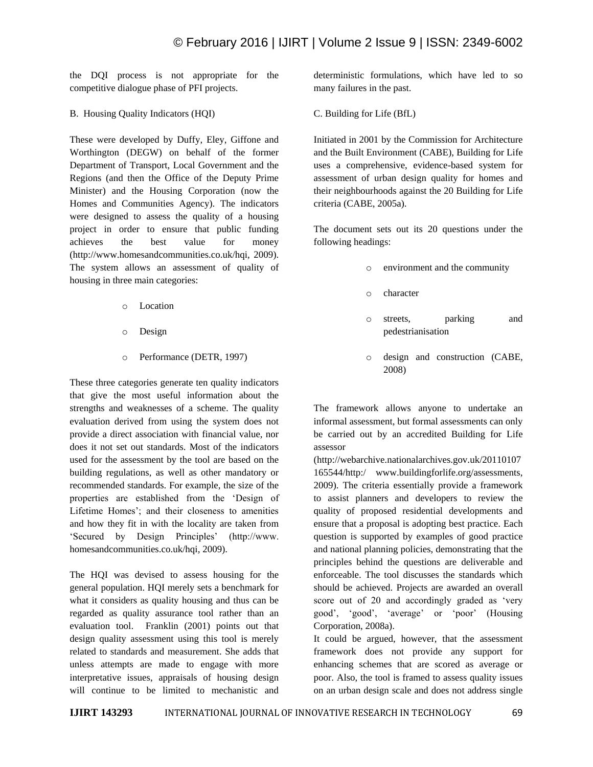the DQI process is not appropriate for the competitive dialogue phase of PFI projects.

B. Housing Quality Indicators (HQI)

These were developed by Duffy, Eley, Giffone and Worthington (DEGW) on behalf of the former Department of Transport, Local Government and the Regions (and then the Office of the Deputy Prime Minister) and the Housing Corporation (now the Homes and Communities Agency). The indicators were designed to assess the quality of a housing project in order to ensure that public funding achieves the best value for money (http://www.homesandcommunities.co.uk/hqi, 2009). The system allows an assessment of quality of housing in three main categories:

- o Location
- o Design
- o Performance (DETR, 1997)

These three categories generate ten quality indicators that give the most useful information about the strengths and weaknesses of a scheme. The quality evaluation derived from using the system does not provide a direct association with financial value, nor does it not set out standards. Most of the indicators used for the assessment by the tool are based on the building regulations, as well as other mandatory or recommended standards. For example, the size of the properties are established from the 'Design of Lifetime Homes'; and their closeness to amenities and how they fit in with the locality are taken from 'Secured by Design Principles' (http://www. homesandcommunities.co.uk/hqi*,* 2009).

The HQI was devised to assess housing for the general population. HQI merely sets a benchmark for what it considers as quality housing and thus can be regarded as quality assurance tool rather than an evaluation tool. Franklin (2001) points out that design quality assessment using this tool is merely related to standards and measurement. She adds that unless attempts are made to engage with more interpretative issues, appraisals of housing design will continue to be limited to mechanistic and

deterministic formulations, which have led to so many failures in the past.

C. Building for Life (BfL)

Initiated in 2001 by the Commission for Architecture and the Built Environment (CABE), Building for Life uses a comprehensive, evidence-based system for assessment of urban design quality for homes and their neighbourhoods against the 20 Building for Life criteria (CABE, 2005a).

The document sets out its 20 questions under the following headings:

- o environment and the community
- o character
- o streets, parking and pedestrianisation
- o design and construction (CABE, 2008)

The framework allows anyone to undertake an informal assessment, but formal assessments can only be carried out by an accredited Building for Life assessor

(http://webarchive.nationalarchives.gov.uk/20110107 165544/http:/ www.buildingforlife.org/assessments, 2009). The criteria essentially provide a framework to assist planners and developers to review the quality of proposed residential developments and ensure that a proposal is adopting best practice. Each question is supported by examples of good practice and national planning policies, demonstrating that the principles behind the questions are deliverable and enforceable. The tool discusses the standards which should be achieved. Projects are awarded an overall score out of 20 and accordingly graded as 'very good', 'good', 'average' or 'poor' (Housing Corporation, 2008a).

It could be argued, however, that the assessment framework does not provide any support for enhancing schemes that are scored as average or poor. Also, the tool is framed to assess quality issues on an urban design scale and does not address single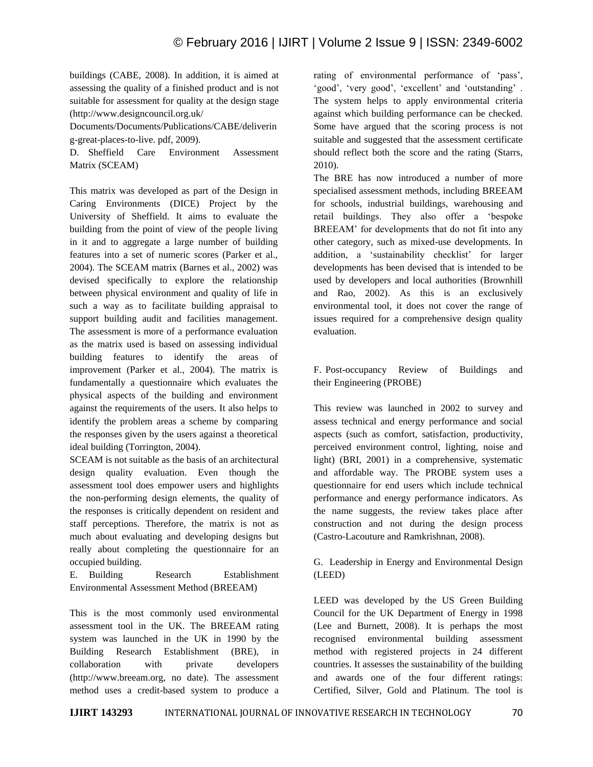buildings (CABE, 2008). In addition, it is aimed at assessing the quality of a finished product and is not suitable for assessment for quality at the design stage (http://www.designcouncil.org.uk/

Documents/Documents/Publications/CABE/deliverin g-great-places-to-live. pdf, 2009).

D. Sheffield Care Environment Assessment Matrix (SCEAM)

This matrix was developed as part of the Design in Caring Environments (DICE) Project by the University of Sheffield. It aims to evaluate the building from the point of view of the people living in it and to aggregate a large number of building features into a set of numeric scores (Parker et al., 2004). The SCEAM matrix (Barnes et al., 2002) was devised specifically to explore the relationship between physical environment and quality of life in such a way as to facilitate building appraisal to support building audit and facilities management. The assessment is more of a performance evaluation as the matrix used is based on assessing individual building features to identify the areas of improvement (Parker et al., 2004). The matrix is fundamentally a questionnaire which evaluates the physical aspects of the building and environment against the requirements of the users. It also helps to identify the problem areas a scheme by comparing the responses given by the users against a theoretical ideal building (Torrington, 2004).

SCEAM is not suitable as the basis of an architectural design quality evaluation. Even though the assessment tool does empower users and highlights the non-performing design elements, the quality of the responses is critically dependent on resident and staff perceptions. Therefore, the matrix is not as much about evaluating and developing designs but really about completing the questionnaire for an occupied building.

E. Building Research Establishment Environmental Assessment Method (BREEAM)

This is the most commonly used environmental assessment tool in the UK. The BREEAM rating system was launched in the UK in 1990 by the Building Research Establishment (BRE), in collaboration with private developers (http://www.breeam.org, no date). The assessment method uses a credit-based system to produce a rating of environmental performance of 'pass', 'good', 'very good', 'excellent' and 'outstanding' . The system helps to apply environmental criteria against which building performance can be checked. Some have argued that the scoring process is not suitable and suggested that the assessment certificate should reflect both the score and the rating (Starrs, 2010).

The BRE has now introduced a number of more specialised assessment methods, including BREEAM for schools, industrial buildings, warehousing and retail buildings. They also offer a 'bespoke BREEAM' for developments that do not fit into any other category, such as mixed-use developments. In addition, a 'sustainability checklist' for larger developments has been devised that is intended to be used by developers and local authorities (Brownhill and Rao, 2002). As this is an exclusively environmental tool, it does not cover the range of issues required for a comprehensive design quality evaluation.

F. Post-occupancy Review of Buildings and their Engineering (PROBE)

This review was launched in 2002 to survey and assess technical and energy performance and social aspects (such as comfort, satisfaction, productivity, perceived environment control, lighting, noise and light) (BRI, 2001) in a comprehensive, systematic and affordable way. The PROBE system uses a questionnaire for end users which include technical performance and energy performance indicators. As the name suggests, the review takes place after construction and not during the design process (Castro-Lacouture and Ramkrishnan, 2008).

G. Leadership in Energy and Environmental Design (LEED)

LEED was developed by the US Green Building Council for the UK Department of Energy in 1998 (Lee and Burnett, 2008). It is perhaps the most recognised environmental building assessment method with registered projects in 24 different countries. It assesses the sustainability of the building and awards one of the four different ratings: Certified, Silver, Gold and Platinum. The tool is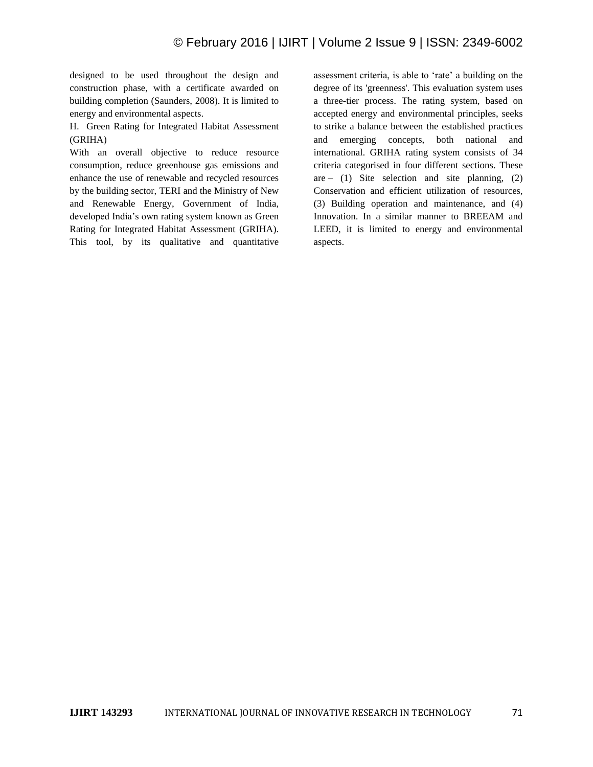designed to be used throughout the design and construction phase, with a certificate awarded on building completion (Saunders, 2008). It is limited to energy and environmental aspects.

H. Green Rating for Integrated Habitat Assessment (GRIHA)

With an overall objective to reduce resource consumption, reduce greenhouse gas emissions and enhance the use of renewable and recycled resources by the building sector, TERI and the Ministry of New and Renewable Energy, Government of India, developed India's own rating system known as Green Rating for Integrated Habitat Assessment (GRIHA). This tool, by its qualitative and quantitative

assessment criteria, is able to 'rate' a building on the degree of its 'greenness'. This evaluation system uses a three-tier process. The rating system, based on accepted energy and environmental principles, seeks to strike a balance between the established practices and emerging concepts, both national and international. GRIHA rating system consists of 34 criteria categorised in four different sections. These are – (1) Site selection and site planning,  $(2)$ Conservation and efficient utilization of resources, (3) Building operation and maintenance, and (4) Innovation. In a similar manner to BREEAM and LEED, it is limited to energy and environmental aspects.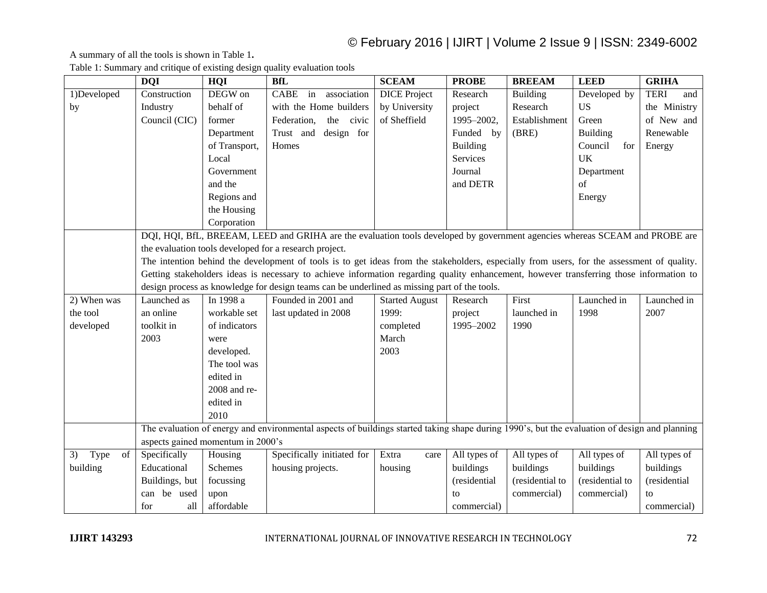### © February 2016 | IJIRT | Volume 2 Issue 9 | ISSN: 2349-6002

A summary of all the tools is shown in Table 1**.**

|                  | <b>DQI</b>                                                                                                                                    | HQI            | <b>BfL</b>                                                                                                                  | <b>SCEAM</b>          | <b>PROBE</b>    | <b>BREEAM</b>   | <b>LEED</b>     | <b>GRIHA</b>       |
|------------------|-----------------------------------------------------------------------------------------------------------------------------------------------|----------------|-----------------------------------------------------------------------------------------------------------------------------|-----------------------|-----------------|-----------------|-----------------|--------------------|
| 1)Developed      | Construction                                                                                                                                  | DEGW on        | CABE<br>in<br>association                                                                                                   | <b>DICE</b> Project   | Research        | <b>Building</b> | Developed by    | <b>TERI</b><br>and |
| by               | Industry                                                                                                                                      | behalf of      | with the Home builders                                                                                                      | by University         | project         | Research        | <b>US</b>       | the Ministry       |
|                  | Council (CIC)                                                                                                                                 | former         | Federation,<br>the civic                                                                                                    | of Sheffield          | 1995-2002,      | Establishment   | Green           | of New and         |
|                  |                                                                                                                                               | Department     | Trust and design for                                                                                                        |                       | Funded by       | (BRE)           | <b>Building</b> | Renewable          |
|                  |                                                                                                                                               | of Transport,  | Homes                                                                                                                       |                       | <b>Building</b> |                 | Council<br>for  | Energy             |
|                  |                                                                                                                                               | Local          |                                                                                                                             |                       | Services        |                 | UK              |                    |
|                  |                                                                                                                                               | Government     |                                                                                                                             |                       | Journal         |                 | Department      |                    |
|                  |                                                                                                                                               | and the        |                                                                                                                             |                       | and DETR        |                 | of              |                    |
|                  |                                                                                                                                               | Regions and    |                                                                                                                             |                       |                 |                 | Energy          |                    |
|                  |                                                                                                                                               | the Housing    |                                                                                                                             |                       |                 |                 |                 |                    |
|                  |                                                                                                                                               | Corporation    |                                                                                                                             |                       |                 |                 |                 |                    |
|                  |                                                                                                                                               |                | DQI, HQI, BfL, BREEAM, LEED and GRIHA are the evaluation tools developed by government agencies whereas SCEAM and PROBE are |                       |                 |                 |                 |                    |
|                  |                                                                                                                                               |                | the evaluation tools developed for a research project.                                                                      |                       |                 |                 |                 |                    |
|                  | The intention behind the development of tools is to get ideas from the stakeholders, especially from users, for the assessment of quality.    |                |                                                                                                                             |                       |                 |                 |                 |                    |
|                  | Getting stakeholders ideas is necessary to achieve information regarding quality enhancement, however transferring those information to       |                |                                                                                                                             |                       |                 |                 |                 |                    |
|                  |                                                                                                                                               |                | design process as knowledge for design teams can be underlined as missing part of the tools.                                |                       |                 |                 |                 |                    |
| 2) When was      | Launched as                                                                                                                                   | In 1998 a      | Founded in 2001 and                                                                                                         | <b>Started August</b> | Research        | First           | Launched in     | Launched in        |
| the tool         | an online                                                                                                                                     | workable set   | last updated in 2008                                                                                                        | 1999:                 | project         | launched in     | 1998            | 2007               |
| developed        | toolkit in                                                                                                                                    | of indicators  |                                                                                                                             | completed             | 1995-2002       | 1990            |                 |                    |
|                  | 2003                                                                                                                                          | were           |                                                                                                                             | March                 |                 |                 |                 |                    |
|                  |                                                                                                                                               | developed.     |                                                                                                                             | 2003                  |                 |                 |                 |                    |
|                  |                                                                                                                                               | The tool was   |                                                                                                                             |                       |                 |                 |                 |                    |
|                  |                                                                                                                                               | edited in      |                                                                                                                             |                       |                 |                 |                 |                    |
|                  |                                                                                                                                               | 2008 and re-   |                                                                                                                             |                       |                 |                 |                 |                    |
|                  |                                                                                                                                               | edited in      |                                                                                                                             |                       |                 |                 |                 |                    |
|                  |                                                                                                                                               | 2010           |                                                                                                                             |                       |                 |                 |                 |                    |
|                  | The evaluation of energy and environmental aspects of buildings started taking shape during 1990's, but the evaluation of design and planning |                |                                                                                                                             |                       |                 |                 |                 |                    |
|                  | aspects gained momentum in 2000's                                                                                                             |                |                                                                                                                             |                       |                 |                 |                 |                    |
| 3)<br>Type<br>of | Specifically                                                                                                                                  | Housing        | Specifically initiated for                                                                                                  | Extra<br>care         | All types of    | All types of    | All types of    | All types of       |
| building         | Educational                                                                                                                                   | <b>Schemes</b> | housing projects.                                                                                                           | housing               | buildings       | buildings       | buildings       | buildings          |
|                  | Buildings, but                                                                                                                                | focussing      |                                                                                                                             |                       | (residential    | (residential to | (residential to | (residential       |
|                  | can be used                                                                                                                                   | upon           |                                                                                                                             |                       | to              | commercial)     | commercial)     | to                 |
|                  | for<br>all                                                                                                                                    | affordable     |                                                                                                                             |                       | commercial)     |                 |                 | commercial)        |

Table 1: Summary and critique of existing design quality evaluation tools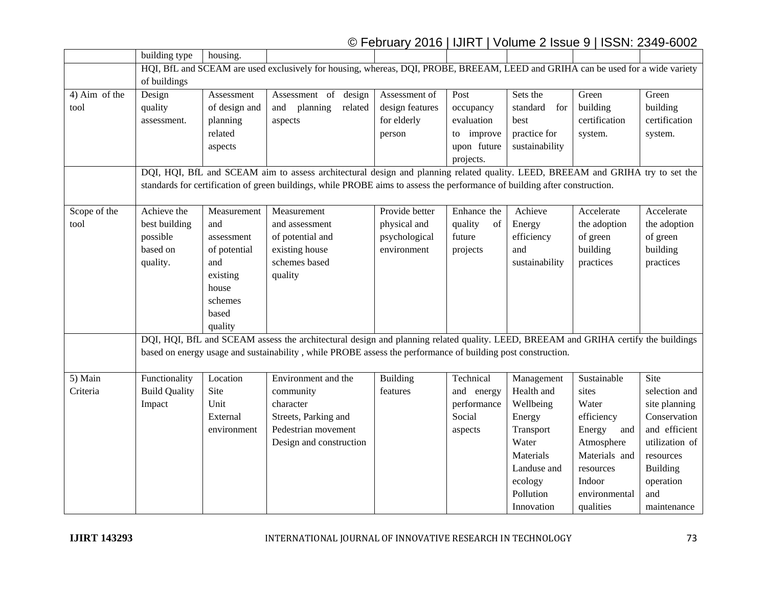### © February 2016 | IJIRT | Volume 2 Issue 9 | ISSN: 2349-6002

|               | building type                                                                                                                   | housing.      |                                                                                                                                    |                 |               |                 |               |                 |  |
|---------------|---------------------------------------------------------------------------------------------------------------------------------|---------------|------------------------------------------------------------------------------------------------------------------------------------|-----------------|---------------|-----------------|---------------|-----------------|--|
|               | HQI, BfL and SCEAM are used exclusively for housing, whereas, DQI, PROBE, BREEAM, LEED and GRIHA can be used for a wide variety |               |                                                                                                                                    |                 |               |                 |               |                 |  |
|               | of buildings                                                                                                                    |               |                                                                                                                                    |                 |               |                 |               |                 |  |
| 4) Aim of the | Design                                                                                                                          | Assessment    | Assessment of<br>design                                                                                                            | Assessment of   | Post          | Sets the        | Green         | Green           |  |
| tool          | quality                                                                                                                         | of design and | planning<br>related<br>and                                                                                                         | design features | occupancy     | standard<br>for | building      | building        |  |
|               | assessment.                                                                                                                     | planning      | aspects                                                                                                                            | for elderly     | evaluation    | best            | certification | certification   |  |
|               |                                                                                                                                 | related       |                                                                                                                                    | person          | to improve    | practice for    | system.       | system.         |  |
|               |                                                                                                                                 | aspects       |                                                                                                                                    |                 | upon future   | sustainability  |               |                 |  |
|               |                                                                                                                                 |               |                                                                                                                                    |                 | projects.     |                 |               |                 |  |
|               |                                                                                                                                 |               | DQI, HQI, BfL and SCEAM aim to assess architectural design and planning related quality. LEED, BREEAM and GRIHA try to set the     |                 |               |                 |               |                 |  |
|               |                                                                                                                                 |               | standards for certification of green buildings, while PROBE aims to assess the performance of building after construction.         |                 |               |                 |               |                 |  |
|               |                                                                                                                                 |               |                                                                                                                                    |                 |               |                 |               |                 |  |
| Scope of the  | Achieve the                                                                                                                     | Measurement   | Measurement                                                                                                                        | Provide better  | Enhance the   | Achieve         | Accelerate    | Accelerate      |  |
| tool          | best building                                                                                                                   | and           | and assessment                                                                                                                     | physical and    | quality<br>of | Energy          | the adoption  | the adoption    |  |
|               | possible                                                                                                                        | assessment    | of potential and                                                                                                                   | psychological   | future        | efficiency      | of green      | of green        |  |
|               | based on                                                                                                                        | of potential  | existing house                                                                                                                     | environment     | projects      | and             | building      | building        |  |
|               | quality.                                                                                                                        | and           | schemes based                                                                                                                      |                 |               | sustainability  | practices     | practices       |  |
|               |                                                                                                                                 | existing      | quality                                                                                                                            |                 |               |                 |               |                 |  |
|               |                                                                                                                                 | house         |                                                                                                                                    |                 |               |                 |               |                 |  |
|               |                                                                                                                                 | schemes       |                                                                                                                                    |                 |               |                 |               |                 |  |
|               |                                                                                                                                 | based         |                                                                                                                                    |                 |               |                 |               |                 |  |
|               |                                                                                                                                 | quality       |                                                                                                                                    |                 |               |                 |               |                 |  |
|               |                                                                                                                                 |               | DQI, HQI, BfL and SCEAM assess the architectural design and planning related quality. LEED, BREEAM and GRIHA certify the buildings |                 |               |                 |               |                 |  |
|               | based on energy usage and sustainability, while PROBE assess the performance of building post construction.                     |               |                                                                                                                                    |                 |               |                 |               |                 |  |
|               |                                                                                                                                 |               |                                                                                                                                    |                 |               |                 |               |                 |  |
| 5) Main       | Functionality                                                                                                                   | Location      | Environment and the                                                                                                                | Building        | Technical     | Management      | Sustainable   | Site            |  |
| Criteria      | <b>Build Quality</b>                                                                                                            | Site          | community                                                                                                                          | features        | and energy    | Health and      | sites         | selection and   |  |
|               | Impact                                                                                                                          | Unit          | character                                                                                                                          |                 | performance   | Wellbeing       | Water         | site planning   |  |
|               |                                                                                                                                 | External      | Streets, Parking and                                                                                                               |                 | Social        | Energy          | efficiency    | Conservation    |  |
|               |                                                                                                                                 | environment   | Pedestrian movement                                                                                                                |                 | aspects       | Transport       | Energy<br>and | and efficient   |  |
|               |                                                                                                                                 |               | Design and construction                                                                                                            |                 |               | Water           | Atmosphere    | utilization of  |  |
|               |                                                                                                                                 |               |                                                                                                                                    |                 |               | Materials       | Materials and | resources       |  |
|               |                                                                                                                                 |               |                                                                                                                                    |                 |               | Landuse and     | resources     | <b>Building</b> |  |
|               |                                                                                                                                 |               |                                                                                                                                    |                 |               | ecology         | Indoor        | operation       |  |
|               |                                                                                                                                 |               |                                                                                                                                    |                 |               | Pollution       | environmental | and             |  |
|               |                                                                                                                                 |               |                                                                                                                                    |                 |               | Innovation      | qualities     | maintenance     |  |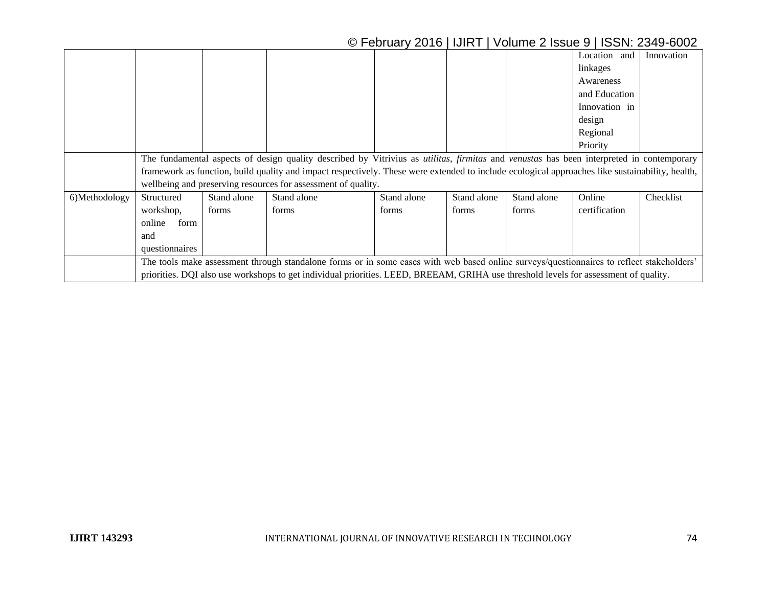## © February 2016 | IJIRT | Volume 2 Issue 9 | ISSN: 2349-6002

|               |                                                                                                                                                        |             |             |             |             |             | Location and  | Innovation |  |
|---------------|--------------------------------------------------------------------------------------------------------------------------------------------------------|-------------|-------------|-------------|-------------|-------------|---------------|------------|--|
|               |                                                                                                                                                        |             |             |             |             |             | linkages      |            |  |
|               |                                                                                                                                                        |             |             |             |             |             | Awareness     |            |  |
|               |                                                                                                                                                        |             |             |             |             |             | and Education |            |  |
|               |                                                                                                                                                        |             |             |             |             |             | Innovation in |            |  |
|               |                                                                                                                                                        |             |             |             |             |             | design        |            |  |
|               |                                                                                                                                                        |             |             |             |             |             | Regional      |            |  |
|               |                                                                                                                                                        |             |             |             |             |             | Priority      |            |  |
|               | The fundamental aspects of design quality described by Vitrivius as <i>utilitas, firmitas</i> and <i>venustas</i> has been interpreted in contemporary |             |             |             |             |             |               |            |  |
|               | framework as function, build quality and impact respectively. These were extended to include ecological approaches like sustainability, health,        |             |             |             |             |             |               |            |  |
|               | wellbeing and preserving resources for assessment of quality.                                                                                          |             |             |             |             |             |               |            |  |
| 6)Methodology | Structured                                                                                                                                             | Stand alone | Stand alone | Stand alone | Stand alone | Stand alone | Online        | Checklist  |  |
|               | workshop,                                                                                                                                              | forms       | forms       | forms       | forms       | forms       | certification |            |  |
|               | online<br>form                                                                                                                                         |             |             |             |             |             |               |            |  |
|               | and                                                                                                                                                    |             |             |             |             |             |               |            |  |
|               | questionnaires                                                                                                                                         |             |             |             |             |             |               |            |  |
|               | The tools make assessment through standalone forms or in some cases with web based online surveys/questionnaires to reflect stakeholders'              |             |             |             |             |             |               |            |  |
|               | priorities. DQI also use workshops to get individual priorities. LEED, BREEAM, GRIHA use threshold levels for assessment of quality.                   |             |             |             |             |             |               |            |  |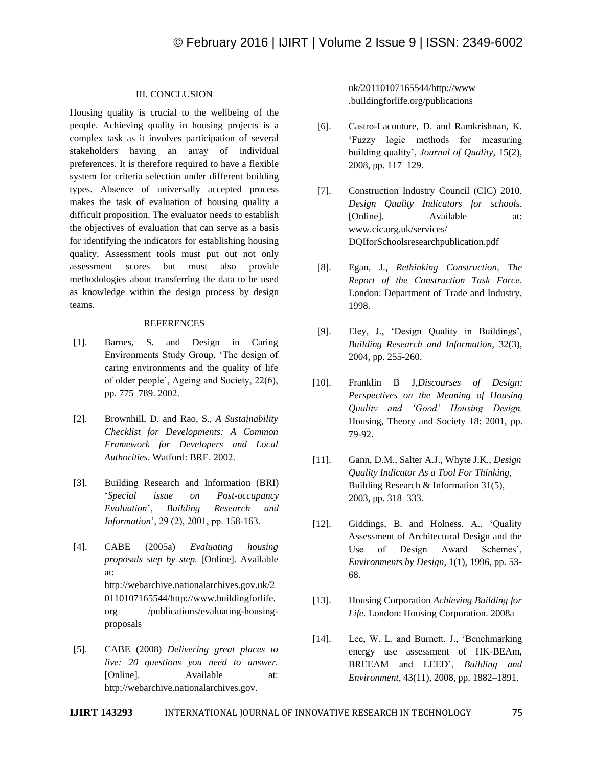#### III. CONCLUSION

Housing quality is crucial to the wellbeing of the people. Achieving quality in housing projects is a complex task as it involves participation of several stakeholders having an array of individual preferences. It is therefore required to have a flexible system for criteria selection under different building types. Absence of universally accepted process makes the task of evaluation of housing quality a difficult proposition. The evaluator needs to establish the objectives of evaluation that can serve as a basis for identifying the indicators for establishing housing quality. Assessment tools must put out not only assessment scores but must also provide methodologies about transferring the data to be used as knowledge within the design process by design teams.

#### REFERENCES

- [1]. Barnes, S. and Design in Caring Environments Study Group, 'The design of caring environments and the quality of life of older people', Ageing and Society, 22(6), pp. 775–789. 2002.
- [2]. Brownhill, D. and Rao, S., *A Sustainability Checklist for Developments: A Common Framework for Developers and Local Authorities*. Watford: BRE. 2002.
- [3]. Building Research and Information (BRI) '*Special issue on Post-occupancy Evaluation*', *Building Research and Information*', 29 (2), 2001, pp. 158-163.
- [4]. CABE (2005a) *Evaluating housing proposals step by step.* [Online]. Available at: http://webarchive.nationalarchives.gov.uk/2 0110107165544/http://www.buildingforlife. org /publications/evaluating-housingproposals
- [5]. CABE (2008) *Delivering great places to live: 20 questions you need to answer.*  [Online]. Available at: http://webarchive.nationalarchives.gov.

uk/20110107165544/http://www .buildingforlife.org/publications

- [6]. Castro-Lacouture, D. and Ramkrishnan, K. 'Fuzzy logic methods for measuring building quality', *Journal of Quality*, 15(2), 2008, pp. 117–129.
- [7]. Construction Industry Council (CIC) 2010. *Design Quality Indicators for schools*. [Online]. Available at: www.cic.org.uk/services/ DQIforSchoolsresearchpublication.pdf
- [8]. Egan, J., *Rethinking Construction, The Report of the Construction Task Force*. London: Department of Trade and Industry*.* 1998.
- [9]. Eley, J., 'Design Quality in Buildings', *Building Research and Information*, 32(3), 2004, pp. 255-260.
- [10]. Franklin B J,*Discourses of Design: Perspectives on the Meaning of Housing Quality and 'Good' Housing Design,*  Housing, Theory and Society 18: 2001, pp. 79-92.
- [11]. Gann, D.M., Salter A.J., Whyte J.K., *Design Quality Indicator As a Tool For Thinking*, Building Research & Information 31(5), 2003, pp. 318–333.
- [12]. Giddings, B. and Holness, A., 'Quality Assessment of Architectural Design and the Use of Design Award Schemes', *Environments by Design*, 1(1), 1996, pp. 53- 68.
- [13]. Housing Corporation *Achieving Building for Life.* London: Housing Corporation. 2008a
- [14]. Lee, W. L. and Burnett, J., 'Benchmarking energy use assessment of HK-BEAm, BREEAM and LEED', *Building and Environment,* 43(11), 2008, pp. 1882–1891.